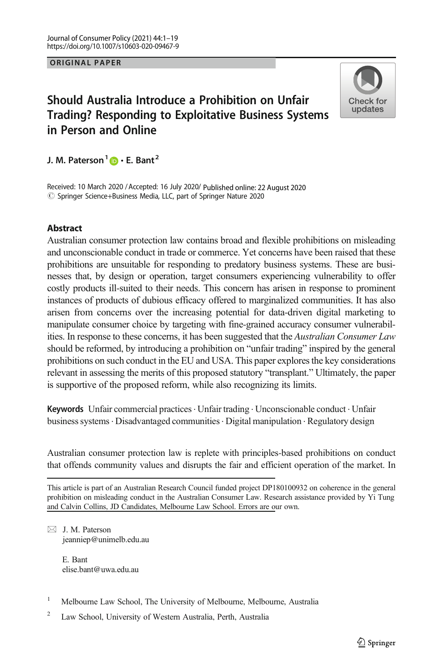## ORIGINAL PAPER

# Should Australia Introduce a Prohibition on Unfair Trading? Responding to Exploitative Business Systems in Person and Online



J. M. Paterson<sup>1</sup>  $\mathbf{D} \cdot \mathbf{E}$ . Bant<sup>2</sup>

Received: 10 March 2020 / Accepted: 16 July 2020/ Published online: 22 August 2020  $\circled{c}$  Springer Science+Business Media, LLC, part of Springer Nature 2020

## Abstract

Australian consumer protection law contains broad and flexible prohibitions on misleading and unconscionable conduct in trade or commerce. Yet concerns have been raised that these prohibitions are unsuitable for responding to predatory business systems. These are businesses that, by design or operation, target consumers experiencing vulnerability to offer costly products ill-suited to their needs. This concern has arisen in response to prominent instances of products of dubious efficacy offered to marginalized communities. It has also arisen from concerns over the increasing potential for data-driven digital marketing to manipulate consumer choice by targeting with fine-grained accuracy consumer vulnerabilities. In response to these concerns, it has been suggested that the *Australian Consumer Law* should be reformed, by introducing a prohibition on "unfair trading" inspired by the general prohibitions on such conduct in the EU and USA. This paper explores the key considerations relevant in assessing the merits of this proposed statutory "transplant." Ultimately, the paper is supportive of the proposed reform, while also recognizing its limits.

Keywords Unfair commercial practices. Unfair trading . Unconscionable conduct . Unfair business systems. Disadvantaged communities. Digital manipulation . Regulatory design

Australian consumer protection law is replete with principles-based prohibitions on conduct that offends community values and disrupts the fair and efficient operation of the market. In

This article is part of an Australian Research Council funded project DP180100932 on coherence in the general prohibition on misleading conduct in the Australian Consumer Law. Research assistance provided by Yi Tung and Calvin Collins, JD Candidates, Melbourne Law School. Errors are our own.

 $\boxtimes$  J. M. Paterson [jeanniep@unimelb.edu.au](mailto:jeanniep@unimelb.edu.au)

> E. Bant elise.bant@uwa.edu.au

<sup>&</sup>lt;sup>1</sup> Melbourne Law School, The University of Melbourne, Melbourne, Australia

<sup>2</sup> Law School, University of Western Australia, Perth, Australia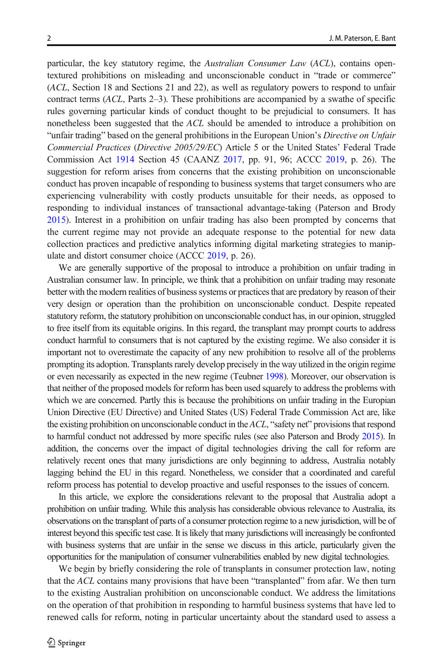particular, the key statutory regime, the Australian Consumer Law (ACL), contains opentextured prohibitions on misleading and unconscionable conduct in "trade or commerce" (ACL, Section 18 and Sections 21 and 22), as well as regulatory powers to respond to unfair contract terms (ACL, Parts 2–3). These prohibitions are accompanied by a swathe of specific rules governing particular kinds of conduct thought to be prejudicial to consumers. It has nonetheless been suggested that the ACL should be amended to introduce a prohibition on "unfair trading" based on the general prohibitions in the European Union's Directive on Unfair Commercial Practices (Directive 2005/29/EC) Article 5 or the United States' Federal Trade Commission Act [1914](#page-18-0) Section 45 (CAANZ [2017](#page-16-0), pp. 91, 96; ACCC [2019](#page-15-0), p. 26). The suggestion for reform arises from concerns that the existing prohibition on unconscionable conduct has proven incapable of responding to business systems that target consumers who are experiencing vulnerability with costly products unsuitable for their needs, as opposed to responding to individual instances of transactional advantage-taking (Paterson and Brody [2015](#page-16-0)). Interest in a prohibition on unfair trading has also been prompted by concerns that the current regime may not provide an adequate response to the potential for new data collection practices and predictive analytics informing digital marketing strategies to manipulate and distort consumer choice (ACCC [2019](#page-15-0), p. 26).

We are generally supportive of the proposal to introduce a prohibition on unfair trading in Australian consumer law. In principle, we think that a prohibition on unfair trading may resonate better with the modern realities of business systems or practices that are predatory by reason of their very design or operation than the prohibition on unconscionable conduct. Despite repeated statutory reform, the statutory prohibition on unconscionable conduct has, in our opinion, struggled to free itself from its equitable origins. In this regard, the transplant may prompt courts to address conduct harmful to consumers that is not captured by the existing regime. We also consider it is important not to overestimate the capacity of any new prohibition to resolve all of the problems prompting its adoption. Transplants rarely develop precisely in the way utilized in the origin regime or even necessarily as expected in the new regime (Teubner [1998](#page-17-0)). Moreover, our observation is that neither of the proposed models for reform has been used squarely to address the problems with which we are concerned. Partly this is because the prohibitions on unfair trading in the Europian Union Directive (EU Directive) and United States (US) Federal Trade Commission Act are, like the existing prohibition on unconscionable conduct in the  $ACL$ , "safety net" provisions that respond to harmful conduct not addressed by more specific rules (see also Paterson and Brody [2015](#page-16-0)). In addition, the concerns over the impact of digital technologies driving the call for reform are relatively recent ones that many jurisdictions are only beginning to address, Australia notably lagging behind the EU in this regard. Nonetheless, we consider that a coordinated and careful reform process has potential to develop proactive and useful responses to the issues of concern.

In this article, we explore the considerations relevant to the proposal that Australia adopt a prohibition on unfair trading. While this analysis has considerable obvious relevance to Australia, its observations on the transplant of parts of a consumer protection regime to a new jurisdiction, will be of interest beyond this specific test case. It is likely that many jurisdictions will increasingly be confronted with business systems that are unfair in the sense we discuss in this article, particularly given the opportunities for the manipulation of consumer vulnerabilities enabled by new digital technologies.

We begin by briefly considering the role of transplants in consumer protection law, noting that the ACL contains many provisions that have been "transplanted" from afar. We then turn to the existing Australian prohibition on unconscionable conduct. We address the limitations on the operation of that prohibition in responding to harmful business systems that have led to renewed calls for reform, noting in particular uncertainty about the standard used to assess a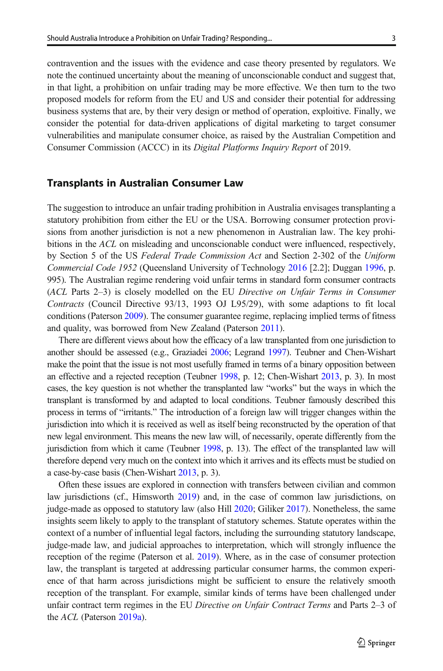contravention and the issues with the evidence and case theory presented by regulators. We note the continued uncertainty about the meaning of unconscionable conduct and suggest that, in that light, a prohibition on unfair trading may be more effective. We then turn to the two proposed models for reform from the EU and US and consider their potential for addressing business systems that are, by their very design or method of operation, exploitive. Finally, we consider the potential for data-driven applications of digital marketing to target consumer vulnerabilities and manipulate consumer choice, as raised by the Australian Competition and Consumer Commission (ACCC) in its Digital Platforms Inquiry Report of 2019.

#### Transplants in Australian Consumer Law

The suggestion to introduce an unfair trading prohibition in Australia envisages transplanting a statutory prohibition from either the EU or the USA. Borrowing consumer protection provisions from another jurisdiction is not a new phenomenon in Australian law. The key prohibitions in the ACL on misleading and unconscionable conduct were influenced, respectively, by Section 5 of the US Federal Trade Commission Act and Section 2-302 of the Uniform Commercial Code 1952 (Queensland University of Technology [2016](#page-17-0) [2.2]; Duggan [1996,](#page-16-0) p. 995). The Australian regime rendering void unfair terms in standard form consumer contracts (ACL Parts 2–3) is closely modelled on the EU Directive on Unfair Terms in Consumer Contracts (Council Directive 93/13, 1993 OJ L95/29), with some adaptions to fit local conditions (Paterson [2009](#page-16-0)). The consumer guarantee regime, replacing implied terms of fitness and quality, was borrowed from New Zealand (Paterson [2011](#page-16-0)).

There are different views about how the efficacy of a law transplanted from one jurisdiction to another should be assessed (e.g., Graziadei [2006;](#page-16-0) Legrand [1997](#page-16-0)). Teubner and Chen-Wishart make the point that the issue is not most usefully framed in terms of a binary opposition between an effective and a rejected reception (Teubner [1998](#page-17-0), p. 12; Chen-Wishart [2013,](#page-15-0) p. 3). In most cases, the key question is not whether the transplanted law "works" but the ways in which the transplant is transformed by and adapted to local conditions. Teubner famously described this process in terms of "irritants." The introduction of a foreign law will trigger changes within the jurisdiction into which it is received as well as itself being reconstructed by the operation of that new legal environment. This means the new law will, of necessarily, operate differently from the jurisdiction from which it came (Teubner [1998](#page-17-0), p. 13). The effect of the transplanted law will therefore depend very much on the context into which it arrives and its effects must be studied on a case-by-case basis (Chen-Wishart [2013](#page-15-0), p. 3).

Often these issues are explored in connection with transfers between civilian and common law jurisdictions (cf., Himsworth [2019\)](#page-16-0) and, in the case of common law jurisdictions, on judge-made as opposed to statutory law (also Hill [2020;](#page-16-0) Giliker [2017\)](#page-16-0). Nonetheless, the same insights seem likely to apply to the transplant of statutory schemes. Statute operates within the context of a number of influential legal factors, including the surrounding statutory landscape, judge-made law, and judicial approaches to interpretation, which will strongly influence the reception of the regime (Paterson et al. [2019](#page-16-0)). Where, as in the case of consumer protection law, the transplant is targeted at addressing particular consumer harms, the common experience of that harm across jurisdictions might be sufficient to ensure the relatively smooth reception of the transplant. For example, similar kinds of terms have been challenged under unfair contract term regimes in the EU Directive on Unfair Contract Terms and Parts 2-3 of the ACL (Paterson [2019a](#page-17-0)).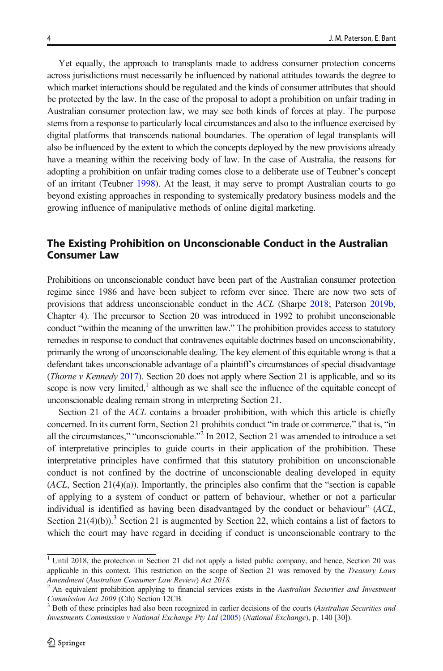Yet equally, the approach to transplants made to address consumer protection concerns across jurisdictions must necessarily be influenced by national attitudes towards the degree to which market interactions should be regulated and the kinds of consumer attributes that should be protected by the law. In the case of the proposal to adopt a prohibition on unfair trading in Australian consumer protection law, we may see both kinds of forces at play. The purpose stems from a response to particularly local circumstances and also to the influence exercised by digital platforms that transcends national boundaries. The operation of legal transplants will also be influenced by the extent to which the concepts deployed by the new provisions already have a meaning within the receiving body of law. In the case of Australia, the reasons for adopting a prohibition on unfair trading comes close to a deliberate use of Teubner's concept of an irritant (Teubner [1998](#page-17-0)). At the least, it may serve to prompt Australian courts to go beyond existing approaches in responding to systemically predatory business models and the growing influence of manipulative methods of online digital marketing.

# The Existing Prohibition on Unconscionable Conduct in the Australian Consumer Law

Prohibitions on unconscionable conduct have been part of the Australian consumer protection regime since 1986 and have been subject to reform ever since. There are now two sets of provisions that address unconscionable conduct in the ACL (Sharpe [2018](#page-17-0); Paterson [2019b](#page-17-0), Chapter 4). The precursor to Section 20 was introduced in 1992 to prohibit unconscionable conduct "within the meaning of the unwritten law." The prohibition provides access to statutory remedies in response to conduct that contravenes equitable doctrines based on unconscionability, primarily the wrong of unconscionable dealing. The key element of this equitable wrong is that a defendant takes unconscionable advantage of a plaintiff's circumstances of special disadvantage (*Thorne v Kennedy* [2017](#page-18-0)). Section 20 does not apply where Section 21 is applicable, and so its scope is now very limited, $<sup>1</sup>$  although as we shall see the influence of the equitable concept of</sup> unconscionable dealing remain strong in interpreting Section 21.

Section 21 of the ACL contains a broader prohibition, with which this article is chiefly concerned. In its current form, Section 21 prohibits conduct "in trade or commerce," that is, "in all the circumstances," "unconscionable."<sup>2</sup> In 2012, Section 21 was amended to introduce a set of interpretative principles to guide courts in their application of the prohibition. These interpretative principles have confirmed that this statutory prohibition on unconscionable conduct is not confined by the doctrine of unconscionable dealing developed in equity  $(ACL, Section 21(4)(a))$ . Importantly, the principles also confirm that the "section is capable" of applying to a system of conduct or pattern of behaviour, whether or not a particular individual is identified as having been disadvantaged by the conduct or behaviour" (ACL, Section  $21(4)(b)$ .<sup>3</sup> Section 21 is augmented by Section 22, which contains a list of factors to which the court may have regard in deciding if conduct is unconscionable contrary to the

<sup>&</sup>lt;sup>1</sup> Until 2018, the protection in Section 21 did not apply a listed public company, and hence, Section 20 was applicable in this context. This restriction on the scope of Section 21 was removed by the *Treasury Laws* Amendment (Australian Consumer Law Review) Act 2018.

An equivalent prohibition applying to financial services exists in the Australian Securities and Investment *Commission Act 2009* (Cth) Section 12CB.<br><sup>3</sup> Both of these principles had also been recognized in earlier decisions of the courts (Australian Securities and

Investments Commission v National Exchange Pty Ltd [\(2005](#page-18-0)) (National Exchange), p. 140 [30]).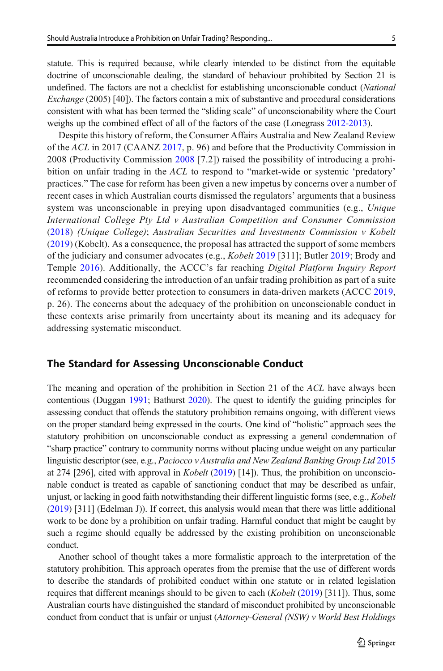statute. This is required because, while clearly intended to be distinct from the equitable doctrine of unconscionable dealing, the standard of behaviour prohibited by Section 21 is undefined. The factors are not a checklist for establishing unconscionable conduct (National Exchange (2005) [40]). The factors contain a mix of substantive and procedural considerations consistent with what has been termed the "sliding scale" of unconscionability where the Court weighs up the combined effect of all of the factors of the case (Lonegrass [2012-2013\)](#page-16-0).

Despite this history of reform, the Consumer Affairs Australia and New Zealand Review of the ACL in 2017 (CAANZ [2017,](#page-16-0) p. 96) and before that the Productivity Commission in 2008 (Productivity Commission [2008](#page-17-0) [7.2]) raised the possibility of introducing a prohibition on unfair trading in the ACL to respond to "market-wide or systemic 'predatory' practices." The case for reform has been given a new impetus by concerns over a number of recent cases in which Australian courts dismissed the regulators' arguments that a business system was unconscionable in preying upon disadvantaged communities (e.g., Unique International College Pty Ltd v Australian Competition and Consumer Commission ([2018](#page-18-0)) (Unique College); Australian Securities and Investments Commission v Kobelt ([2019](#page-18-0)) (Kobelt). As a consequence, the proposal has attracted the support of some members of the judiciary and consumer advocates (e.g., *Kobelt* [2019](#page-15-0) [311]; Butler 2019; Brody and Temple [2016\)](#page-15-0). Additionally, the ACCC's far reaching Digital Platform Inquiry Report recommended considering the introduction of an unfair trading prohibition as part of a suite of reforms to provide better protection to consumers in data-driven markets (ACCC [2019](#page-15-0), p. 26). The concerns about the adequacy of the prohibition on unconscionable conduct in these contexts arise primarily from uncertainty about its meaning and its adequacy for addressing systematic misconduct.

### The Standard for Assessing Unconscionable Conduct

The meaning and operation of the prohibition in Section 21 of the ACL have always been contentious (Duggan [1991;](#page-16-0) Bathurst [2020](#page-15-0)). The quest to identify the guiding principles for assessing conduct that offends the statutory prohibition remains ongoing, with different views on the proper standard being expressed in the courts. One kind of "holistic" approach sees the statutory prohibition on unconscionable conduct as expressing a general condemnation of "sharp practice" contrary to community norms without placing undue weight on any particular linguistic descriptor (see, e.g., Paciocco v Australia and New Zealand Banking Group Ltd [2015](#page-18-0) at 274 [296], cited with approval in *Kobelt* [\(2019\)](#page-17-0) [14]). Thus, the prohibition on unconscionable conduct is treated as capable of sanctioning conduct that may be described as unfair, unjust, or lacking in good faith notwithstanding their different linguistic forms (see, e.g., Kobelt ([2019](#page-18-0)) [311] (Edelman J)). If correct, this analysis would mean that there was little additional work to be done by a prohibition on unfair trading. Harmful conduct that might be caught by such a regime should equally be addressed by the existing prohibition on unconscionable conduct.

Another school of thought takes a more formalistic approach to the interpretation of the statutory prohibition. This approach operates from the premise that the use of different words to describe the standards of prohibited conduct within one statute or in related legislation requires that different meanings should to be given to each  $(Kobel (2019) [311])$  $(Kobel (2019) [311])$  $(Kobel (2019) [311])$ . Thus, some Australian courts have distinguished the standard of misconduct prohibited by unconscionable conduct from conduct that is unfair or unjust (Attorney-General (NSW) v World Best Holdings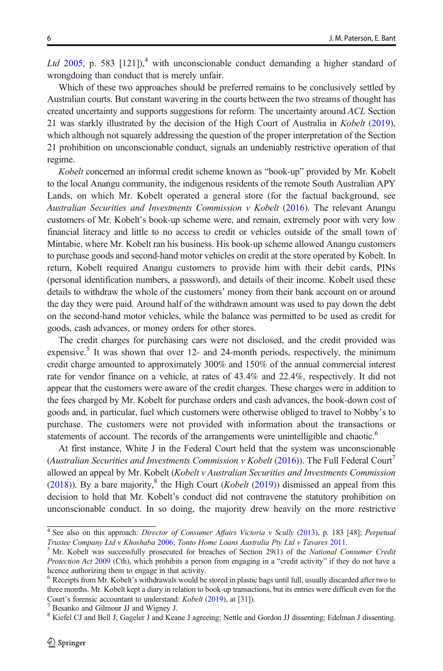Ltd [2005](#page-18-0), p. 583  $[121]$ ,<sup>4</sup> with unconscionable conduct demanding a higher standard of wrongdoing than conduct that is merely unfair.

Which of these two approaches should be preferred remains to be conclusively settled by Australian courts. But constant wavering in the courts between the two streams of thought has created uncertainty and supports suggestions for reform. The uncertainty around ACL Section 21 was starkly illustrated by the decision of the High Court of Australia in Kobelt ([2019](#page-18-0)), which although not squarely addressing the question of the proper interpretation of the Section 21 prohibition on unconscionable conduct, signals an undeniably restrictive operation of that regime.

Kobelt concerned an informal credit scheme known as "book-up" provided by Mr. Kobelt to the local Anangu community, the indigenous residents of the remote South Australian APY Lands, on which Mr. Kobelt operated a general store (for the factual background, see Australian Securities and Investments Commission v Kobelt  $(2016)$  $(2016)$  $(2016)$ . The relevant Anangu customers of Mr. Kobelt's book-up scheme were, and remain, extremely poor with very low financial literacy and little to no access to credit or vehicles outside of the small town of Mintabie, where Mr. Kobelt ran his business. His book-up scheme allowed Anangu customers to purchase goods and second-hand motor vehicles on credit at the store operated by Kobelt. In return, Kobelt required Anangu customers to provide him with their debit cards, PINs (personal identification numbers, a password), and details of their income. Kobelt used these details to withdraw the whole of the customers' money from their bank account on or around the day they were paid. Around half of the withdrawn amount was used to pay down the debt on the second-hand motor vehicles, while the balance was permitted to be used as credit for goods, cash advances, or money orders for other stores.

The credit charges for purchasing cars were not disclosed, and the credit provided was expensive.<sup>5</sup> It was shown that over 12- and 24-month periods, respectively, the minimum credit charge amounted to approximately 300% and 150% of the annual commercial interest rate for vendor finance on a vehicle, at rates of 43.4% and 22.4%, respectively. It did not appear that the customers were aware of the credit charges. These charges were in addition to the fees charged by Mr. Kobelt for purchase orders and cash advances, the book-down cost of goods and, in particular, fuel which customers were otherwise obliged to travel to Nobby's to purchase. The customers were not provided with information about the transactions or statements of account. The records of the arrangements were unintelligible and chaotic.<sup>6</sup>

At first instance, White J in the Federal Court held that the system was unconscionable (Australian Securities and Investments Commission v Kobelt [\(2016\)](#page-18-0)). The Full Federal Court<sup>7</sup> allowed an appeal by Mr. Kobelt (Kobelt v Australian Securities and Investments Commission ([2018](#page-18-0))). By a bare majority,<sup>8</sup> the High Court (*Kobelt* ([2019](#page-18-0))) dismissed an appeal from this decision to hold that Mr. Kobelt's conduct did not contravene the statutory prohibition on unconscionable conduct. In so doing, the majority drew heavily on the more restrictive

<sup>&</sup>lt;sup>4</sup> See also on this approach: *Director of Consumer Affairs Victoria v Scully* [\(2013\)](#page-18-0), p. 183 [48]; *Perpetual Trustee Company Ltd v Khoshaba* 2006; *Tonto Home Loans Australia Pty Ltd v Tavares* 2011.

 $5$  Mr. Kobelt was successfully prosecuted for breaches of Section 29(1) of the National Consumer Credit Protection Act [2009](#page-17-0) (Cth), which prohibits a person from engaging in a "credit activity" if they do not have a licence authorizing them to engage in that activity.

<sup>6</sup> Receipts from Mr. Kobelt's withdrawals would be stored in plastic bags until full, usually discarded after two to three months. Mr. Kobelt kept a diary in relation to book-up transactions, but its entries were difficult even for the Court's forensic accountant to understand: *Kobelt* [\(2019\)](#page-18-0), at [31]). <sup>7</sup> Besanko and Gilmour JJ and Wigney J.

<sup>&</sup>lt;sup>8</sup> Kiefel CJ and Bell J; Gageler J and Keane J agreeing; Nettle and Gordon JJ dissenting; Edelman J dissenting.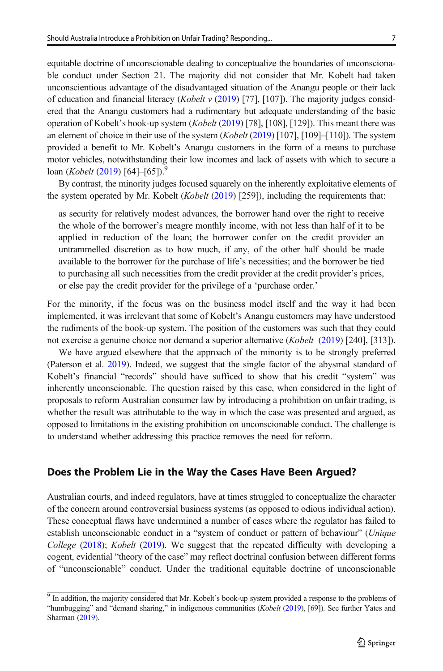equitable doctrine of unconscionable dealing to conceptualize the boundaries of unconscionable conduct under Section 21. The majority did not consider that Mr. Kobelt had taken unconscientious advantage of the disadvantaged situation of the Anangu people or their lack of education and financial literacy (*Kobelt v* ([2019](#page-18-0)) [77], [107]). The majority judges considered that the Anangu customers had a rudimentary but adequate understanding of the basic operation of Kobelt's book-up system (*Kobelt* [\(2019\)](#page-18-0) [78], [108], [129]). This meant there was an element of choice in their use of the system  $(Kobel (2019) [107], [109]–[110])$  $(Kobel (2019) [107], [109]–[110])$  $(Kobel (2019) [107], [109]–[110])$ . The system provided a benefit to Mr. Kobelt's Anangu customers in the form of a means to purchase motor vehicles, notwithstanding their low incomes and lack of assets with which to secure a  $\alpha$ loan (*Kobelt* ([2019](#page-18-0)) [64]–[65]).<sup>9</sup>

By contrast, the minority judges focused squarely on the inherently exploitative elements of the system operated by Mr. Kobelt (*Kobelt* ([2019](#page-18-0)) [259]), including the requirements that:

as security for relatively modest advances, the borrower hand over the right to receive the whole of the borrower's meagre monthly income, with not less than half of it to be applied in reduction of the loan; the borrower confer on the credit provider an untrammelled discretion as to how much, if any, of the other half should be made available to the borrower for the purchase of life's necessities; and the borrower be tied to purchasing all such necessities from the credit provider at the credit provider's prices, or else pay the credit provider for the privilege of a 'purchase order.'

For the minority, if the focus was on the business model itself and the way it had been implemented, it was irrelevant that some of Kobelt's Anangu customers may have understood the rudiments of the book-up system. The position of the customers was such that they could not exercise a genuine choice nor demand a superior alternative (Kobelt [\(2019](#page-18-0)) [240], [313]).

We have argued elsewhere that the approach of the minority is to be strongly preferred (Paterson et al. [2019](#page-16-0)). Indeed, we suggest that the single factor of the abysmal standard of Kobelt's financial "records" should have sufficed to show that his credit "system" was inherently unconscionable. The question raised by this case, when considered in the light of proposals to reform Australian consumer law by introducing a prohibition on unfair trading, is whether the result was attributable to the way in which the case was presented and argued, as opposed to limitations in the existing prohibition on unconscionable conduct. The challenge is to understand whether addressing this practice removes the need for reform.

# Does the Problem Lie in the Way the Cases Have Been Argued?

Australian courts, and indeed regulators, have at times struggled to conceptualize the character of the concern around controversial business systems (as opposed to odious individual action). These conceptual flaws have undermined a number of cases where the regulator has failed to establish unconscionable conduct in a "system of conduct or pattern of behaviour" (Unique College [\(2018\)](#page-18-0); Kobelt ([2019](#page-18-0)). We suggest that the repeated difficulty with developing a cogent, evidential "theory of the case" may reflect doctrinal confusion between different forms of "unconscionable" conduct. Under the traditional equitable doctrine of unconscionable

<sup>&</sup>lt;sup>9</sup> In addition, the majority considered that Mr. Kobelt's book-up system provided a response to the problems of "humbugging" and "demand sharing," in indigenous communities (Kobelt [\(2019\)](#page-18-0), [69]). See further Yates and Sharman ([2019](#page-17-0)).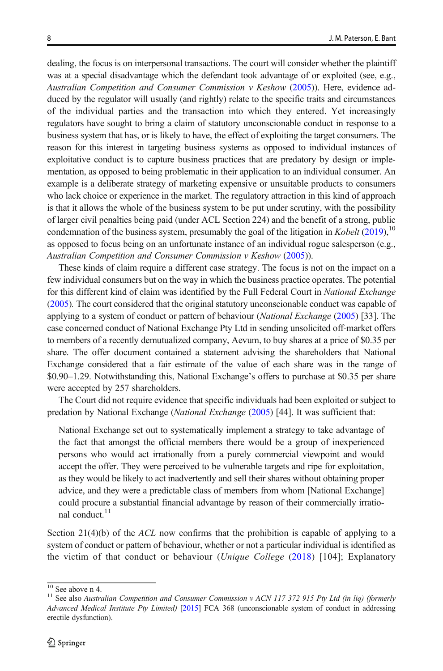dealing, the focus is on interpersonal transactions. The court will consider whether the plaintiff was at a special disadvantage which the defendant took advantage of or exploited (see, e.g., Australian Competition and Consumer Commission v Keshow [\(2005\)](#page-18-0)). Here, evidence adduced by the regulator will usually (and rightly) relate to the specific traits and circumstances of the individual parties and the transaction into which they entered. Yet increasingly regulators have sought to bring a claim of statutory unconscionable conduct in response to a business system that has, or is likely to have, the effect of exploiting the target consumers. The reason for this interest in targeting business systems as opposed to individual instances of exploitative conduct is to capture business practices that are predatory by design or implementation, as opposed to being problematic in their application to an individual consumer. An example is a deliberate strategy of marketing expensive or unsuitable products to consumers who lack choice or experience in the market. The regulatory attraction in this kind of approach is that it allows the whole of the business system to be put under scrutiny, with the possibility of larger civil penalties being paid (under ACL Section 224) and the benefit of a strong, public condemnation of the business system, presumably the goal of the litigation in Kobelt ([2019](#page-18-0)),<sup>10</sup> as opposed to focus being on an unfortunate instance of an individual rogue salesperson (e.g., Australian Competition and Consumer Commission v Keshow [\(2005\)](#page-18-0)).

These kinds of claim require a different case strategy. The focus is not on the impact on a few individual consumers but on the way in which the business practice operates. The potential for this different kind of claim was identified by the Full Federal Court in National Exchange ([2005](#page-18-0)). The court considered that the original statutory unconscionable conduct was capable of applying to a system of conduct or pattern of behaviour (National Exchange [\(2005\)](#page-18-0) [33]. The case concerned conduct of National Exchange Pty Ltd in sending unsolicited off-market offers to members of a recently demutualized company, Aevum, to buy shares at a price of \$0.35 per share. The offer document contained a statement advising the shareholders that National Exchange considered that a fair estimate of the value of each share was in the range of \$0.90–1.29. Notwithstanding this, National Exchange's offers to purchase at \$0.35 per share were accepted by 257 shareholders.

The Court did not require evidence that specific individuals had been exploited or subject to predation by National Exchange (National Exchange ([2005](#page-18-0)) [44]. It was sufficient that:

National Exchange set out to systematically implement a strategy to take advantage of the fact that amongst the official members there would be a group of inexperienced persons who would act irrationally from a purely commercial viewpoint and would accept the offer. They were perceived to be vulnerable targets and ripe for exploitation, as they would be likely to act inadvertently and sell their shares without obtaining proper advice, and they were a predictable class of members from whom [National Exchange] could procure a substantial financial advantage by reason of their commercially irrational conduct.<sup>11</sup>

Section  $21(4)(b)$  of the ACL now confirms that the prohibition is capable of applying to a system of conduct or pattern of behaviour, whether or not a particular individual is identified as the victim of that conduct or behaviour (*Unique College* ([2018](#page-18-0)) [104]; Explanatory

<sup>&</sup>lt;sup>10</sup> See above n 4.<br><sup>11</sup> See also Australian Competition and Consumer Commission v ACN 117 372 915 Pty Ltd (in liq) (formerly Advanced Medical Institute Pty Limited) [\[2015\]](#page-18-0) FCA 368 (unconscionable system of conduct in addressing erectile dysfunction).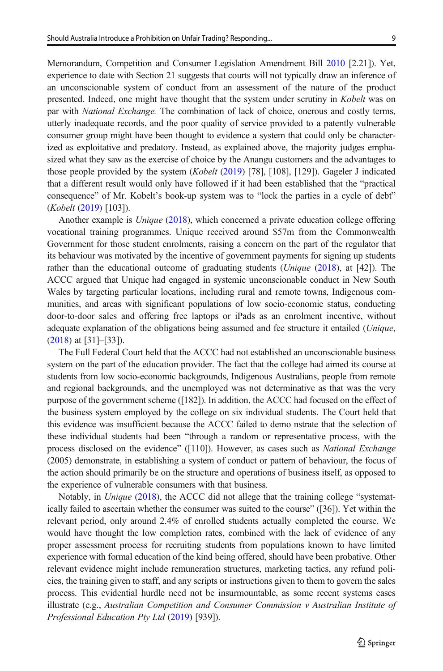Memorandum, Competition and Consumer Legislation Amendment Bill [2010](#page-17-0) [2.21]). Yet, experience to date with Section 21 suggests that courts will not typically draw an inference of an unconscionable system of conduct from an assessment of the nature of the product presented. Indeed, one might have thought that the system under scrutiny in Kobelt was on par with National Exchange. The combination of lack of choice, onerous and costly terms, utterly inadequate records, and the poor quality of service provided to a patently vulnerable consumer group might have been thought to evidence a system that could only be characterized as exploitative and predatory. Instead, as explained above, the majority judges emphasized what they saw as the exercise of choice by the Anangu customers and the advantages to those people provided by the system (*Kobelt* ([2019](#page-18-0)) [78], [108], [129]). Gageler J indicated that a different result would only have followed if it had been established that the "practical consequence" of Mr. Kobelt's book-up system was to "lock the parties in a cycle of debt" (Kobelt [\(2019](#page-18-0)) [103]).

Another example is *Unique* [\(2018\)](#page-18-0), which concerned a private education college offering vocational training programmes. Unique received around \$57m from the Commonwealth Government for those student enrolments, raising a concern on the part of the regulator that its behaviour was motivated by the incentive of government payments for signing up students rather than the educational outcome of graduating students (*Unique* [\(2018\)](#page-18-0), at [42]). The ACCC argued that Unique had engaged in systemic unconscionable conduct in New South Wales by targeting particular locations, including rural and remote towns, Indigenous communities, and areas with significant populations of low socio-economic status, conducting door-to-door sales and offering free laptops or iPads as an enrolment incentive, without adequate explanation of the obligations being assumed and fee structure it entailed (Unique, ([2018](#page-18-0)) at [31]–[33]).

The Full Federal Court held that the ACCC had not established an unconscionable business system on the part of the education provider. The fact that the college had aimed its course at students from low socio-economic backgrounds, Indigenous Australians, people from remote and regional backgrounds, and the unemployed was not determinative as that was the very purpose of the government scheme ([182]). In addition, the ACCC had focused on the effect of the business system employed by the college on six individual students. The Court held that this evidence was insufficient because the ACCC failed to demo nstrate that the selection of these individual students had been "through a random or representative process, with the process disclosed on the evidence" ([110]). However, as cases such as *National Exchange* (2005) demonstrate, in establishing a system of conduct or pattern of behaviour, the focus of the action should primarily be on the structure and operations of business itself, as opposed to the experience of vulnerable consumers with that business.

Notably, in Unique ([2018](#page-18-0)), the ACCC did not allege that the training college "systematically failed to ascertain whether the consumer was suited to the course" ([36]). Yet within the relevant period, only around 2.4% of enrolled students actually completed the course. We would have thought the low completion rates, combined with the lack of evidence of any proper assessment process for recruiting students from populations known to have limited experience with formal education of the kind being offered, should have been probative. Other relevant evidence might include remuneration structures, marketing tactics, any refund policies, the training given to staff, and any scripts or instructions given to them to govern the sales process. This evidential hurdle need not be insurmountable, as some recent systems cases illustrate (e.g., Australian Competition and Consumer Commission v Australian Institute of Professional Education Pty Ltd [\(2019\)](#page-18-0) [939]).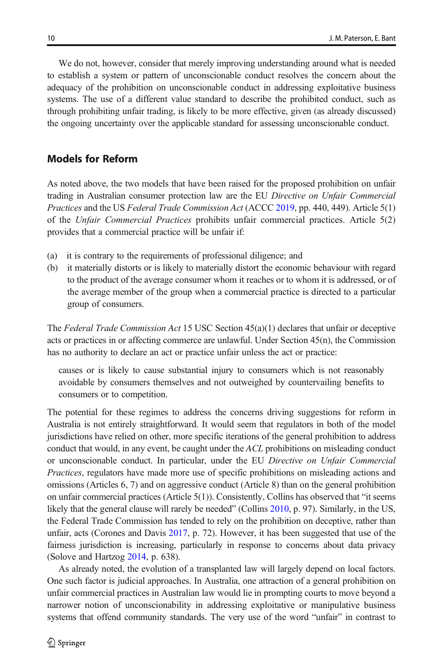We do not, however, consider that merely improving understanding around what is needed to establish a system or pattern of unconscionable conduct resolves the concern about the adequacy of the prohibition on unconscionable conduct in addressing exploitative business systems. The use of a different value standard to describe the prohibited conduct, such as through prohibiting unfair trading, is likely to be more effective, given (as already discussed) the ongoing uncertainty over the applicable standard for assessing unconscionable conduct.

# Models for Reform

As noted above, the two models that have been raised for the proposed prohibition on unfair trading in Australian consumer protection law are the EU Directive on Unfair Commercial Practices and the US Federal Trade Commission Act (ACCC [2019](#page-15-0), pp. 440, 449). Article 5(1) of the Unfair Commercial Practices prohibits unfair commercial practices. Article 5(2) provides that a commercial practice will be unfair if:

- (a) it is contrary to the requirements of professional diligence; and
- (b) it materially distorts or is likely to materially distort the economic behaviour with regard to the product of the average consumer whom it reaches or to whom it is addressed, or of the average member of the group when a commercial practice is directed to a particular group of consumers.

The Federal Trade Commission Act 15 USC Section  $45(a)(1)$  declares that unfair or deceptive acts or practices in or affecting commerce are unlawful. Under Section 45(n), the Commission has no authority to declare an act or practice unfair unless the act or practice:

causes or is likely to cause substantial injury to consumers which is not reasonably avoidable by consumers themselves and not outweighed by countervailing benefits to consumers or to competition.

The potential for these regimes to address the concerns driving suggestions for reform in Australia is not entirely straightforward. It would seem that regulators in both of the model jurisdictions have relied on other, more specific iterations of the general prohibition to address conduct that would, in any event, be caught under the ACL prohibitions on misleading conduct or unconscionable conduct. In particular, under the EU Directive on Unfair Commercial Practices, regulators have made more use of specific prohibitions on misleading actions and omissions (Articles 6, 7) and on aggressive conduct (Article 8) than on the general prohibition on unfair commercial practices (Article 5(1)). Consistently, Collins has observed that "it seems likely that the general clause will rarely be needed" (Collins [2010,](#page-16-0) p. 97). Similarly, in the US, the Federal Trade Commission has tended to rely on the prohibition on deceptive, rather than unfair, acts (Corones and Davis [2017](#page-16-0), p. 72). However, it has been suggested that use of the fairness jurisdiction is increasing, particularly in response to concerns about data privacy (Solove and Hartzog [2014](#page-17-0), p. 638).

As already noted, the evolution of a transplanted law will largely depend on local factors. One such factor is judicial approaches. In Australia, one attraction of a general prohibition on unfair commercial practices in Australian law would lie in prompting courts to move beyond a narrower notion of unconscionability in addressing exploitative or manipulative business systems that offend community standards. The very use of the word "unfair" in contrast to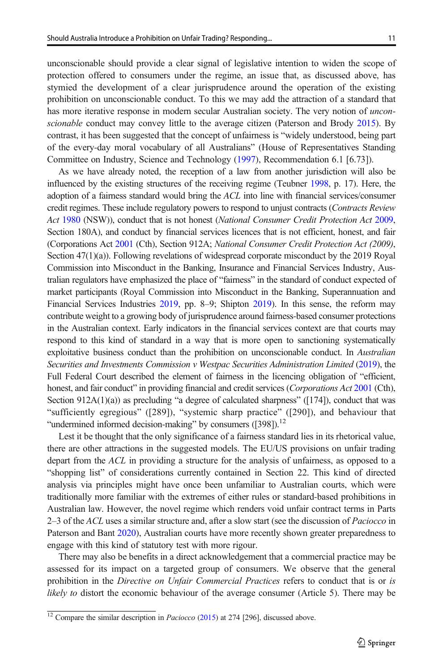unconscionable should provide a clear signal of legislative intention to widen the scope of protection offered to consumers under the regime, an issue that, as discussed above, has stymied the development of a clear jurisprudence around the operation of the existing prohibition on unconscionable conduct. To this we may add the attraction of a standard that has more iterative response in modern secular Australian society. The very notion of *uncon*scionable conduct may convey little to the average citizen (Paterson and Brody [2015\)](#page-16-0). By contrast, it has been suggested that the concept of unfairness is "widely understood, being part of the every-day moral vocabulary of all Australians" (House of Representatives Standing Committee on Industry, Science and Technology [\(1997\)](#page-16-0), Recommendation 6.1 [6.73]).

As we have already noted, the reception of a law from another jurisdiction will also be influenced by the existing structures of the receiving regime (Teubner [1998](#page-17-0), p. 17). Here, the adoption of a fairness standard would bring the ACL into line with financial services/consumer credit regimes. These include regulatory powers to respond to unjust contracts (Contracts Review Act [1980](#page-17-0) (NSW)), conduct that is not honest (National Consumer Credit Protection Act [2009](#page-17-0), Section 180A), and conduct by financial services licences that is not efficient, honest, and fair (Corporations Act [2001](#page-17-0) (Cth), Section 912A; National Consumer Credit Protection Act (2009), Section 47(1)(a)). Following revelations of widespread corporate misconduct by the 2019 Royal Commission into Misconduct in the Banking, Insurance and Financial Services Industry, Australian regulators have emphasized the place of "fairness" in the standard of conduct expected of market participants (Royal Commission into Misconduct in the Banking, Superannuation and Financial Services Industries [2019,](#page-17-0) pp. 8–9; Shipton [2019\)](#page-17-0). In this sense, the reform may contribute weight to a growing body of jurisprudence around fairness-based consumer protections in the Australian context. Early indicators in the financial services context are that courts may respond to this kind of standard in a way that is more open to sanctioning systematically exploitative business conduct than the prohibition on unconscionable conduct. In Australian Securities and Investments Commission v Westpac Securities Administration Limited  $(2019)$  $(2019)$ , the Full Federal Court described the element of fairness in the licencing obligation of "efficient, honest, and fair conduct" in providing financial and credit services (Corporations Act [2001](#page-17-0) (Cth), Section 912A(1)(a)) as precluding "a degree of calculated sharpness" ([174]), conduct that was "sufficiently egregious" ([289]), "systemic sharp practice" ([290]), and behaviour that "undermined informed decision-making" by consumers ([398]).<sup>12</sup>

Lest it be thought that the only significance of a fairness standard lies in its rhetorical value, there are other attractions in the suggested models. The EU/US provisions on unfair trading depart from the ACL in providing a structure for the analysis of unfairness, as opposed to a "shopping list" of considerations currently contained in Section 22. This kind of directed analysis via principles might have once been unfamiliar to Australian courts, which were traditionally more familiar with the extremes of either rules or standard-based prohibitions in Australian law. However, the novel regime which renders void unfair contract terms in Parts 2–3 of the ACL uses a similar structure and, after a slow start (see the discussion of *Paciocco* in Paterson and Bant [2020\)](#page-17-0), Australian courts have more recently shown greater preparedness to engage with this kind of statutory test with more rigour.

There may also be benefits in a direct acknowledgement that a commercial practice may be assessed for its impact on a targeted group of consumers. We observe that the general prohibition in the *Directive on Unfair Commercial Practices* refers to conduct that is or is likely to distort the economic behaviour of the average consumer (Article 5). There may be

 $\frac{12}{12}$  Compare the similar description in *Paciocco* [\(2015\)](#page-18-0) at 274 [296], discussed above.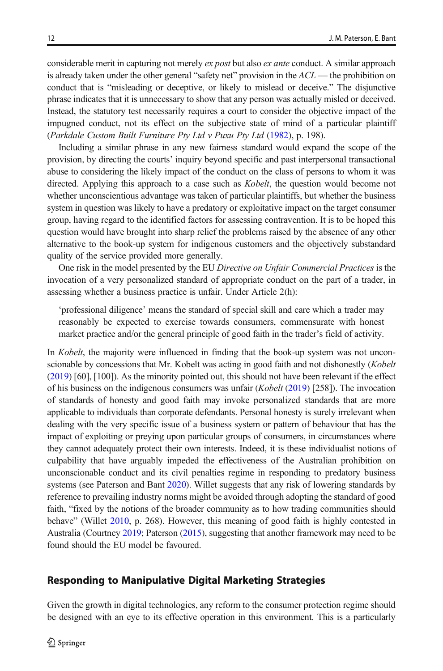considerable merit in capturing not merely ex post but also ex ante conduct. A similar approach is already taken under the other general "safety net" provision in the  $ACL$  — the prohibition on conduct that is "misleading or deceptive, or likely to mislead or deceive." The disjunctive phrase indicates that it is unnecessary to show that any person was actually misled or deceived. Instead, the statutory test necessarily requires a court to consider the objective impact of the impugned conduct, not its effect on the subjective state of mind of a particular plaintiff (Parkdale Custom Built Furniture Pty Ltd v Puxu Pty Ltd ([1982](#page-18-0)), p. 198).

Including a similar phrase in any new fairness standard would expand the scope of the provision, by directing the courts' inquiry beyond specific and past interpersonal transactional abuse to considering the likely impact of the conduct on the class of persons to whom it was directed. Applying this approach to a case such as *Kobelt*, the question would become not whether unconscientious advantage was taken of particular plaintiffs, but whether the business system in question was likely to have a predatory or exploitative impact on the target consumer group, having regard to the identified factors for assessing contravention. It is to be hoped this question would have brought into sharp relief the problems raised by the absence of any other alternative to the book-up system for indigenous customers and the objectively substandard quality of the service provided more generally.

One risk in the model presented by the EU Directive on Unfair Commercial Practices is the invocation of a very personalized standard of appropriate conduct on the part of a trader, in assessing whether a business practice is unfair. Under Article 2(h):

'professional diligence' means the standard of special skill and care which a trader may reasonably be expected to exercise towards consumers, commensurate with honest market practice and/or the general principle of good faith in the trader's field of activity.

In *Kobelt*, the majority were influenced in finding that the book-up system was not unconscionable by concessions that Mr. Kobelt was acting in good faith and not dishonestly (Kobelt ([2019](#page-18-0)) [60], [100]). As the minority pointed out, this should not have been relevant if the effect of his business on the indigenous consumers was unfair  $(Kobel (2019) [258])$  $(Kobel (2019) [258])$  $(Kobel (2019) [258])$ . The invocation of standards of honesty and good faith may invoke personalized standards that are more applicable to individuals than corporate defendants. Personal honesty is surely irrelevant when dealing with the very specific issue of a business system or pattern of behaviour that has the impact of exploiting or preying upon particular groups of consumers, in circumstances where they cannot adequately protect their own interests. Indeed, it is these individualist notions of culpability that have arguably impeded the effectiveness of the Australian prohibition on unconscionable conduct and its civil penalties regime in responding to predatory business systems (see Paterson and Bant [2020\)](#page-17-0). Willet suggests that any risk of lowering standards by reference to prevailing industry norms might be avoided through adopting the standard of good faith, "fixed by the notions of the broader community as to how trading communities should behave" (Willet [2010,](#page-16-0) p. 268). However, this meaning of good faith is highly contested in Australia (Courtney [2019](#page-16-0); Paterson ([2015](#page-16-0)), suggesting that another framework may need to be found should the EU model be favoured.

# Responding to Manipulative Digital Marketing Strategies

Given the growth in digital technologies, any reform to the consumer protection regime should be designed with an eye to its effective operation in this environment. This is a particularly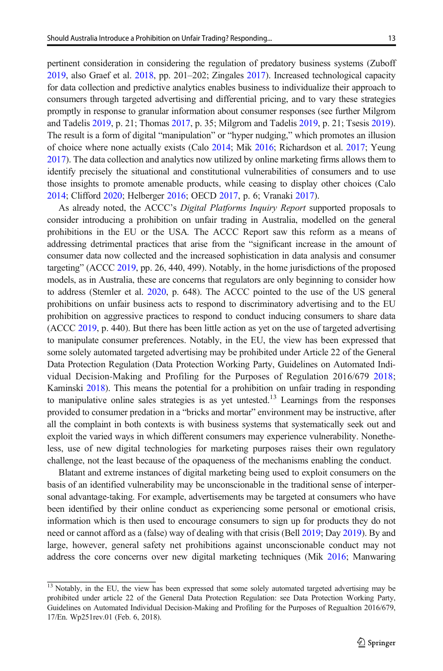pertinent consideration in considering the regulation of predatory business systems (Zuboff [2019](#page-17-0), also Graef et al. [2018](#page-16-0), pp. 201–202; Zingales [2017\)](#page-17-0). Increased technological capacity for data collection and predictive analytics enables business to individualize their approach to consumers through targeted advertising and differential pricing, and to vary these strategies promptly in response to granular information about consumer responses (see further Milgrom and Tadelis [2019](#page-16-0), p. 21; Thomas [2017,](#page-17-0) p. 35; Milgrom and Tadelis [2019](#page-16-0), p. 21; Tsesis [2019](#page-17-0)). The result is a form of digital "manipulation" or "hyper nudging," which promotes an illusion of choice where none actually exists (Calo [2014;](#page-15-0) Mik [2016;](#page-16-0) Richardson et al. [2017](#page-17-0); Yeung [2017](#page-17-0)). The data collection and analytics now utilized by online marketing firms allows them to identify precisely the situational and constitutional vulnerabilities of consumers and to use those insights to promote amenable products, while ceasing to display other choices (Calo [2014](#page-15-0); Clifford [2020](#page-16-0); Helberger [2016](#page-16-0); OECD [2017](#page-16-0), p. 6; Vranaki [2017\)](#page-17-0).

As already noted, the ACCC's Digital Platforms Inquiry Report supported proposals to consider introducing a prohibition on unfair trading in Australia, modelled on the general prohibitions in the EU or the USA. The ACCC Report saw this reform as a means of addressing detrimental practices that arise from the "significant increase in the amount of consumer data now collected and the increased sophistication in data analysis and consumer targeting" (ACCC [2019,](#page-15-0) pp. 26, 440, 499). Notably, in the home jurisdictions of the proposed models, as in Australia, these are concerns that regulators are only beginning to consider how to address (Stemler et al. [2020,](#page-17-0) p. 648). The ACCC pointed to the use of the US general prohibitions on unfair business acts to respond to discriminatory advertising and to the EU prohibition on aggressive practices to respond to conduct inducing consumers to share data (ACCC [2019](#page-15-0), p. 440). But there has been little action as yet on the use of targeted advertising to manipulate consumer preferences. Notably, in the EU, the view has been expressed that some solely automated targeted advertising may be prohibited under Article 22 of the General Data Protection Regulation (Data Protection Working Party, Guidelines on Automated Individual Decision-Making and Profiling for the Purposes of Regulation 2016/679 [2018](#page-16-0); Kaminski [2018](#page-16-0)). This means the potential for a prohibition on unfair trading in responding to manipulative online sales strategies is as yet untested.<sup>13</sup> Learnings from the responses provided to consumer predation in a "bricks and mortar" environment may be instructive, after all the complaint in both contexts is with business systems that systematically seek out and exploit the varied ways in which different consumers may experience vulnerability. Nonetheless, use of new digital technologies for marketing purposes raises their own regulatory challenge, not the least because of the opaqueness of the mechanisms enabling the conduct.

Blatant and extreme instances of digital marketing being used to exploit consumers on the basis of an identified vulnerability may be unconscionable in the traditional sense of interpersonal advantage-taking. For example, advertisements may be targeted at consumers who have been identified by their online conduct as experiencing some personal or emotional crisis, information which is then used to encourage consumers to sign up for products they do not need or cannot afford as a (false) way of dealing with that crisis (Bell [2019](#page-15-0); Day [2019\)](#page-16-0). By and large, however, general safety net prohibitions against unconscionable conduct may not address the core concerns over new digital marketing techniques (Mik [2016](#page-16-0); Manwaring

<sup>&</sup>lt;sup>13</sup> Notably, in the EU, the view has been expressed that some solely automated targeted advertising may be prohibited under article 22 of the General Data Protection Regulation: see Data Protection Working Party, Guidelines on Automated Individual Decision-Making and Profiling for the Purposes of Regualtion 2016/679, 17/En. Wp251rev.01 (Feb. 6, 2018).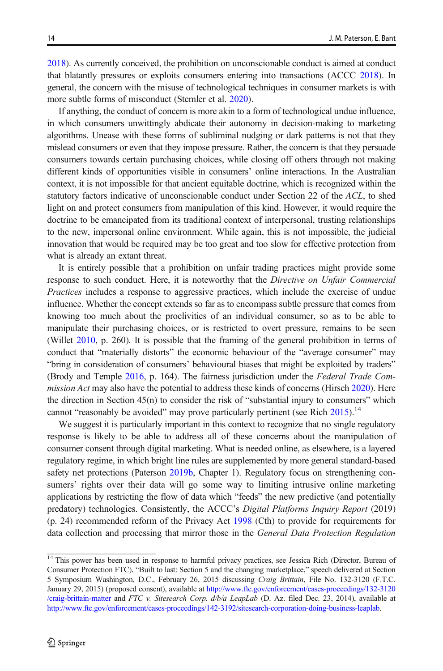[2018](#page-16-0)). As currently conceived, the prohibition on unconscionable conduct is aimed at conduct that blatantly pressures or exploits consumers entering into transactions (ACCC [2018\)](#page-17-0). In general, the concern with the misuse of technological techniques in consumer markets is with more subtle forms of misconduct (Stemler et al. [2020](#page-17-0)).

If anything, the conduct of concern is more akin to a form of technological undue influence, in which consumers unwittingly abdicate their autonomy in decision-making to marketing algorithms. Unease with these forms of subliminal nudging or dark patterns is not that they mislead consumers or even that they impose pressure. Rather, the concern is that they persuade consumers towards certain purchasing choices, while closing off others through not making different kinds of opportunities visible in consumers' online interactions. In the Australian context, it is not impossible for that ancient equitable doctrine, which is recognized within the statutory factors indicative of unconscionable conduct under Section 22 of the ACL, to shed light on and protect consumers from manipulation of this kind. However, it would require the doctrine to be emancipated from its traditional context of interpersonal, trusting relationships to the new, impersonal online environment. While again, this is not impossible, the judicial innovation that would be required may be too great and too slow for effective protection from what is already an extant threat.

It is entirely possible that a prohibition on unfair trading practices might provide some response to such conduct. Here, it is noteworthy that the Directive on Unfair Commercial Practices includes a response to aggressive practices, which include the exercise of undue influence. Whether the concept extends so far as to encompass subtle pressure that comes from knowing too much about the proclivities of an individual consumer, so as to be able to manipulate their purchasing choices, or is restricted to overt pressure, remains to be seen (Willet [2010,](#page-16-0) p. 260). It is possible that the framing of the general prohibition in terms of conduct that "materially distorts" the economic behaviour of the "average consumer" may "bring in consideration of consumers' behavioural biases that might be exploited by traders" (Brody and Temple [2016,](#page-15-0) p. 164). The fairness jurisdiction under the Federal Trade Com-mission Act may also have the potential to address these kinds of concerns (Hirsch [2020](#page-16-0)). Here the direction in Section 45(n) to consider the risk of "substantial injury to consumers" which cannot "reasonably be avoided" may prove particularly pertinent (see Rich  $2015$ ).<sup>14</sup>

We suggest it is particularly important in this context to recognize that no single regulatory response is likely to be able to address all of these concerns about the manipulation of consumer consent through digital marketing. What is needed online, as elsewhere, is a layered regulatory regime, in which bright line rules are supplemented by more general standard-based safety net protections (Paterson [2019b](#page-17-0), Chapter 1). Regulatory focus on strengthening consumers' rights over their data will go some way to limiting intrusive online marketing applications by restricting the flow of data which "feeds" the new predictive (and potentially predatory) technologies. Consistently, the ACCC's Digital Platforms Inquiry Report (2019) (p. 24) recommended reform of the Privacy Act [1998](#page-17-0) (Cth) to provide for requirements for data collection and processing that mirror those in the General Data Protection Regulation

<sup>&</sup>lt;sup>14</sup> This power has been used in response to harmful privacy practices, see Jessica Rich (Director, Bureau of Consumer Protection FTC), "Built to last: Section 5 and the changing marketplace," speech delivered at Section 5 Symposium Washington, D.C., February 26, 2015 discussing Craig Brittain, File No. 132-3120 (F.T.C. January 29, 2015) (proposed consent), available at [http://www.ftc.gov/enforcement/cases-proceedings/132-3120](http://www.ftc.gov/enforcement/cases-proceedings/132-3120/craig-brittain-matter) [/craig-brittain-matter](http://www.ftc.gov/enforcement/cases-proceedings/132-3120/craig-brittain-matter) and FTC v. Sitesearch Corp. d/b/a LeapLab (D. Az. filed Dec. 23, 2014), available at [http://www.ftc.gov/enforcement/cases-proceedings/142-3192/sitesearch-corporation-doing-business-leaplab.](http://www.ftc.gov/enforcement/cases-proceedings/142-3192/sitesearch-corporation-doing-business-leaplab)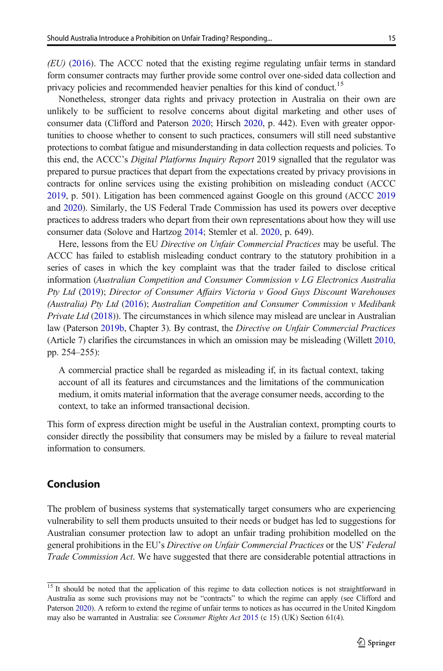$(EU)$  [\(2016\)](#page-17-0). The ACCC noted that the existing regime regulating unfair terms in standard form consumer contracts may further provide some control over one-sided data collection and privacy policies and recommended heavier penalties for this kind of conduct.<sup>15</sup>

Nonetheless, stronger data rights and privacy protection in Australia on their own are unlikely to be sufficient to resolve concerns about digital marketing and other uses of consumer data (Clifford and Paterson [2020;](#page-15-0) Hirsch [2020,](#page-16-0) p. 442). Even with greater opportunities to choose whether to consent to such practices, consumers will still need substantive protections to combat fatigue and misunderstanding in data collection requests and policies. To this end, the ACCC's Digital Platforms Inquiry Report 2019 signalled that the regulator was prepared to pursue practices that depart from the expectations created by privacy provisions in contracts for online services using the existing prohibition on misleading conduct (ACCC [2019](#page-15-0), p. 501). Litigation has been commenced against Google on this ground (ACCC [2019](#page-15-0) and [2020\)](#page-15-0). Similarly, the US Federal Trade Commission has used its powers over deceptive practices to address traders who depart from their own representations about how they will use consumer data (Solove and Hartzog [2014;](#page-17-0) Stemler et al. [2020](#page-17-0), p. 649).

Here, lessons from the EU Directive on Unfair Commercial Practices may be useful. The ACCC has failed to establish misleading conduct contrary to the statutory prohibition in a series of cases in which the key complaint was that the trader failed to disclose critical information (Australian Competition and Consumer Commission v LG Electronics Australia Pty Ltd [\(2019\)](#page-18-0); Director of Consumer Affairs Victoria v Good Guys Discount Warehouses (Australia) Pty Ltd ([2016](#page-18-0)); Australian Competition and Consumer Commission v Medibank *Private Ltd* [\(2018\)](#page-18-0)). The circumstances in which silence may mislead are unclear in Australian law (Paterson [2019b](#page-17-0), Chapter 3). By contrast, the Directive on Unfair Commercial Practices (Article 7) clarifies the circumstances in which an omission may be misleading (Willett [2010](#page-17-0), pp. 254–255):

A commercial practice shall be regarded as misleading if, in its factual context, taking account of all its features and circumstances and the limitations of the communication medium, it omits material information that the average consumer needs, according to the context, to take an informed transactional decision.

This form of express direction might be useful in the Australian context, prompting courts to consider directly the possibility that consumers may be misled by a failure to reveal material information to consumers.

# Conclusion

The problem of business systems that systematically target consumers who are experiencing vulnerability to sell them products unsuited to their needs or budget has led to suggestions for Australian consumer protection law to adopt an unfair trading prohibition modelled on the general prohibitions in the EU's Directive on Unfair Commercial Practices or the US' Federal Trade Commission Act. We have suggested that there are considerable potential attractions in

<sup>&</sup>lt;sup>15</sup> It should be noted that the application of this regime to data collection notices is not straightforward in Australia as some such provisions may not be "contracts" to which the regime can apply (see Clifford and Paterson [2020\)](#page-15-0). A reform to extend the regime of unfair terms to notices as has occurred in the United Kingdom may also be warranted in Australia: see Consumer Rights Act [2015](#page-18-0) (c 15) (UK) Section 61(4).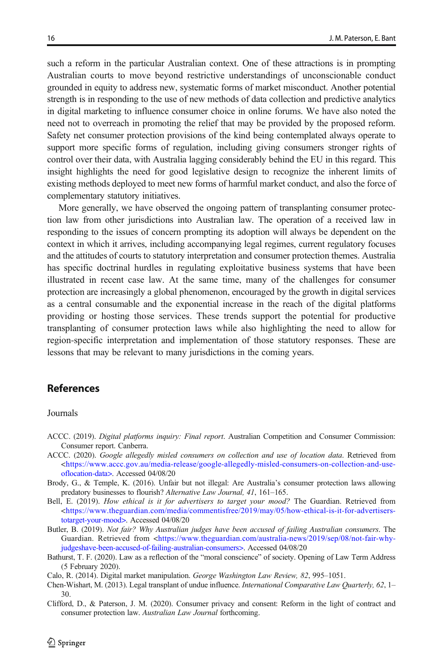<span id="page-15-0"></span>such a reform in the particular Australian context. One of these attractions is in prompting Australian courts to move beyond restrictive understandings of unconscionable conduct grounded in equity to address new, systematic forms of market misconduct. Another potential strength is in responding to the use of new methods of data collection and predictive analytics in digital marketing to influence consumer choice in online forums. We have also noted the need not to overreach in promoting the relief that may be provided by the proposed reform. Safety net consumer protection provisions of the kind being contemplated always operate to support more specific forms of regulation, including giving consumers stronger rights of control over their data, with Australia lagging considerably behind the EU in this regard. This insight highlights the need for good legislative design to recognize the inherent limits of existing methods deployed to meet new forms of harmful market conduct, and also the force of complementary statutory initiatives.

More generally, we have observed the ongoing pattern of transplanting consumer protection law from other jurisdictions into Australian law. The operation of a received law in responding to the issues of concern prompting its adoption will always be dependent on the context in which it arrives, including accompanying legal regimes, current regulatory focuses and the attitudes of courts to statutory interpretation and consumer protection themes. Australia has specific doctrinal hurdles in regulating exploitative business systems that have been illustrated in recent case law. At the same time, many of the challenges for consumer protection are increasingly a global phenomenon, encouraged by the growth in digital services as a central consumable and the exponential increase in the reach of the digital platforms providing or hosting those services. These trends support the potential for productive transplanting of consumer protection laws while also highlighting the need to allow for region-specific interpretation and implementation of those statutory responses. These are lessons that may be relevant to many jurisdictions in the coming years.

# References

#### Journals

- ACCC. (2019). Digital platforms inquiry: Final report. Australian Competition and Consumer Commission: Consumer report. Canberra.
- ACCC. (2020). Google allegedly misled consumers on collection and use of location data. Retrieved from [<https://www.accc.gov.au/media-release/google-allegedly-misled-consumers-on-collection-and-use](https://www.accc.gov.au/media-release/google-allegedly-misled-consumers-on-collection-and-use-oflocation-data%3e)[oflocation-data>](https://www.accc.gov.au/media-release/google-allegedly-misled-consumers-on-collection-and-use-oflocation-data%3e). Accessed 04/08/20
- Brody, G., & Temple, K. (2016). Unfair but not illegal: Are Australia's consumer protection laws allowing predatory businesses to flourish? Alternative Law Journal, 41, 161–165.
- Bell, E. (2019). How ethical is it for advertisers to target your mood? The Guardian. Retrieved from [<https://www.theguardian.com/media/commentisfree/2019/may/05/how-ethical-is-it-for-advertisers](https://www.theguardian.com/media/commentisfree/2019/may/05/how-ethical-is-it-for-advertisers-totarget-your-mood%3e)[totarget-your-mood>.](https://www.theguardian.com/media/commentisfree/2019/may/05/how-ethical-is-it-for-advertisers-totarget-your-mood%3e) Accessed 04/08/20
- Butler, B. (2019). Not fair? Why Australian judges have been accused of failing Australian consumers. The Guardian. Retrieved from <[https://www.theguardian.com/australia-news/2019/sep/08/not-fair-why](https://www.theguardian.com/australia-news/2019/sep/08/not-fair-why-judgeshave-been-accused-of-failing-australian-consumers%3e)[judgeshave-been-accused-of-failing-australian-consumers>.](https://www.theguardian.com/australia-news/2019/sep/08/not-fair-why-judgeshave-been-accused-of-failing-australian-consumers%3e) Accessed 04/08/20
- Bathurst, T. F. (2020). Law as a reflection of the "moral conscience" of society. Opening of Law Term Address (5 February 2020).
- Calo, R. (2014). Digital market manipulation. George Washington Law Review, 82, 995–1051.
- Chen-Wishart, M. (2013). Legal transplant of undue influence. International Comparative Law Quarterly, 62, 1– 30.
- Clifford, D., & Paterson, J. M. (2020). Consumer privacy and consent: Reform in the light of contract and consumer protection law. Australian Law Journal forthcoming.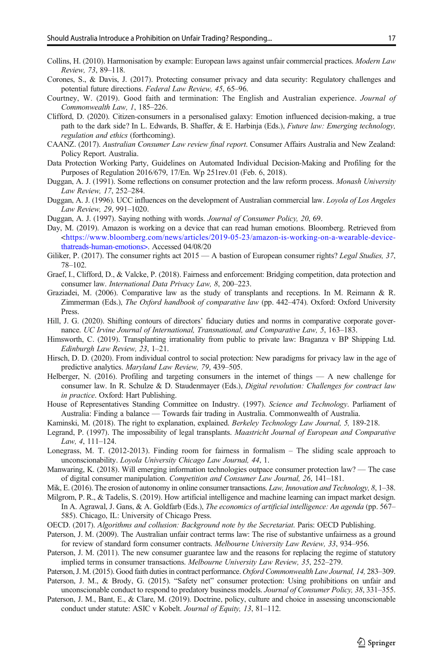- <span id="page-16-0"></span>Collins, H. (2010). Harmonisation by example: European laws against unfair commercial practices. Modern Law Review, 73, 89–118.
- Corones, S., & Davis, J. (2017). Protecting consumer privacy and data security: Regulatory challenges and potential future directions. Federal Law Review, 45, 65–96.
- Courtney, W. (2019). Good faith and termination: The English and Australian experience. Journal of Commonwealth Law, 1, 185–226.
- Clifford, D. (2020). Citizen-consumers in a personalised galaxy: Emotion influenced decision-making, a true path to the dark side? In L. Edwards, B. Shaffer, & E. Harbinja (Eds.), Future law: Emerging technology, regulation and ethics (forthcoming).
- CAANZ. (2017). Australian Consumer Law review final report. Consumer Affairs Australia and New Zealand: Policy Report. Australia.
- Data Protection Working Party, Guidelines on Automated Individual Decision-Making and Profiling for the Purposes of Regulation 2016/679, 17/En. Wp 251rev.01 (Feb. 6, 2018).
- Duggan, A. J. (1991). Some reflections on consumer protection and the law reform process. Monash University Law Review, 17, 252–284.
- Duggan, A. J. (1996). UCC influences on the development of Australian commercial law. Loyola of Los Angeles Law Review, 29, 991–1020.
- Duggan, A. J. (1997). Saying nothing with words. Journal of Consumer Policy, 20, 69.
- Day, M. (2019). Amazon is working on a device that can read human emotions. Bloomberg. Retrieved from  $\lt$ https://www.bloomberg.com/news/articles/2019-05-23/amazon-is-working-on-a-wearable-device[thatreads-human-emotions>.](https://www.bloomberg.com/news/articles/2019-05-23/amazon-is-working-on-a-wearable-device-thatreads-human-emotions%3e) Accessed 04/08/20
- Giliker, P. (2017). The consumer rights act 2015 A bastion of European consumer rights? Legal Studies, 37, 78–102.
- Graef, I., Clifford, D., & Valcke, P. (2018). Fairness and enforcement: Bridging competition, data protection and consumer law. International Data Privacy Law, 8, 200–223.
- Graziadei, M. (2006). Comparative law as the study of transplants and receptions. In M. Reimann & R. Zimmerman (Eds.), The Oxford handbook of comparative law (pp. 442–474). Oxford: Oxford University Press.
- Hill, J. G. (2020). Shifting contours of directors' fiduciary duties and norms in comparative corporate governance. UC Irvine Journal of International, Transnational, and Comparative Law, 5, 163–183.
- Himsworth, C. (2019). Transplanting irrationality from public to private law: Braganza v BP Shipping Ltd. Edinburgh Law Review, 23, 1–21.
- Hirsch, D. D. (2020). From individual control to social protection: New paradigms for privacy law in the age of predictive analytics. Maryland Law Review, 79, 439–505.
- Helberger, N. (2016). Profiling and targeting consumers in the internet of things A new challenge for consumer law. In R. Schulze & D. Staudenmayer (Eds.), Digital revolution: Challenges for contract law in practice. Oxford: Hart Publishing.
- House of Representatives Standing Committee on Industry. (1997). Science and Technology. Parliament of Australia: Finding a balance — Towards fair trading in Australia. Commonwealth of Australia.
- Kaminski, M. (2018). The right to explanation, explained. Berkeley Technology Law Journal, 5, 189-218.
- Legrand, P. (1997). The impossibility of legal transplants. Maastricht Journal of European and Comparative Law, 4, 111–124.
- Lonegrass, M. T. (2012-2013). Finding room for fairness in formalism The sliding scale approach to unconscionability. Loyola University Chicago Law Journal, 44, 1.
- Manwaring, K. (2018). Will emerging information technologies outpace consumer protection law? The case of digital consumer manipulation. Competition and Consumer Law Journal, 26, 141–181.
- Mik, E. (2016). The erosion of autonomy in online consumer transactions. Law, Innovation and Technology, 8, 1–38.
- Milgrom, P. R., & Tadelis, S. (2019). How artificial intelligence and machine learning can impact market design. In A. Agrawal, J. Gans, & A. Goldfarb (Eds.), The economics of artificial intelligence: An agenda (pp. 567– 585). Chicago, IL: University of Chicago Press.
- OECD. (2017). Algorithms and collusion: Background note by the Secretariat. Paris: OECD Publishing.
- Paterson, J. M. (2009). The Australian unfair contract terms law: The rise of substantive unfairness as a ground for review of standard form consumer contracts. Melbourne University Law Review, 33, 934–956.
- Paterson, J. M. (2011). The new consumer guarantee law and the reasons for replacing the regime of statutory implied terms in consumer transactions. Melbourne University Law Review, 35, 252–279.

Paterson, J. M. (2015). Good faith duties in contract performance. Oxford Commonwealth Law Journal, 14, 283–309. Paterson, J. M., & Brody, G. (2015). "Safety net" consumer protection: Using prohibitions on unfair and

- unconscionable conduct to respond to predatory business models. Journal of Consumer Policy, 38, 331–355.
- Paterson, J. M., Bant, E., & Clare, M. (2019). Doctrine, policy, culture and choice in assessing unconscionable conduct under statute: ASIC v Kobelt. Journal of Equity, 13, 81–112.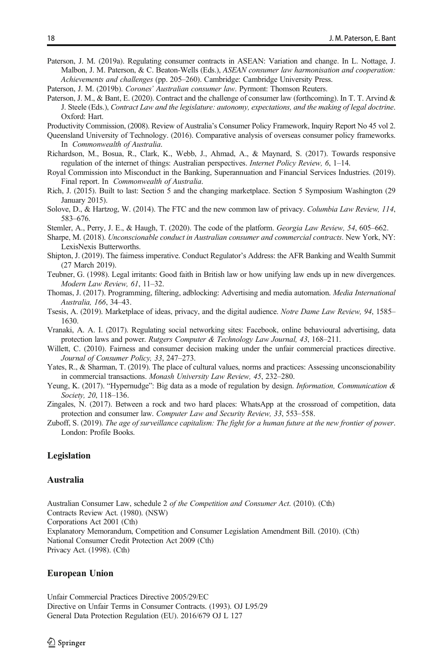- <span id="page-17-0"></span>Paterson, J. M. (2019a). Regulating consumer contracts in ASEAN: Variation and change. In L. Nottage, J. Malbon, J. M. Paterson, & C. Beaton-Wells (Eds.), ASEAN consumer law harmonisation and cooperation: Achievements and challenges (pp. 205–260). Cambridge: Cambridge University Press.
- Paterson, J. M. (2019b). Corones' Australian consumer law. Pyrmont: Thomson Reuters.
- Paterson, J. M., & Bant, E. (2020). Contract and the challenge of consumer law (forthcoming). In T. T. Arvind & J. Steele (Eds.), Contract Law and the legislature: autonomy, expectations, and the making of legal doctrine. Oxford: Hart.

Productivity Commission, (2008). Review of Australia's Consumer Policy Framework, Inquiry Report No 45 vol 2.

- Queensland University of Technology. (2016). Comparative analysis of overseas consumer policy frameworks. In Commonwealth of Australia.
- Richardson, M., Bosua, R., Clark, K., Webb, J., Ahmad, A., & Maynard, S. (2017). Towards responsive regulation of the internet of things: Australian perspectives. Internet Policy Review, 6, 1–14.
- Royal Commission into Misconduct in the Banking, Superannuation and Financial Services Industries. (2019). Final report. In Commonwealth of Australia.
- Rich, J. (2015). Built to last: Section 5 and the changing marketplace. Section 5 Symposium Washington (29 January 2015).
- Solove, D., & Hartzog, W. (2014). The FTC and the new common law of privacy. Columbia Law Review, 114, 583–676.

Stemler, A., Perry, J. E., & Haugh, T. (2020). The code of the platform. Georgia Law Review, 54, 605–662.

- Sharpe, M. (2018). Unconscionable conduct in Australian consumer and commercial contracts. New York, NY: LexisNexis Butterworths.
- Shipton, J. (2019). The fairness imperative. Conduct Regulator's Address: the AFR Banking and Wealth Summit (27 March 2019).
- Teubner, G. (1998). Legal irritants: Good faith in British law or how unifying law ends up in new divergences. Modern Law Review, 61, 11–32.
- Thomas, J. (2017). Programming, filtering, adblocking: Advertising and media automation. Media International Australia, 166, 34–43.
- Tsesis, A. (2019). Marketplace of ideas, privacy, and the digital audience. Notre Dame Law Review, 94, 1585– 1630.
- Vranaki, A. A. I. (2017). Regulating social networking sites: Facebook, online behavioural advertising, data protection laws and power. Rutgers Computer & Technology Law Journal, 43, 168–211.
- Willett, C. (2010). Fairness and consumer decision making under the unfair commercial practices directive. Journal of Consumer Policy, 33, 247–273.
- Yates, R., & Sharman, T. (2019). The place of cultural values, norms and practices: Assessing unconscionability in commercial transactions. Monash University Law Review, 45, 232–280.
- Yeung, K. (2017). "Hypernudge": Big data as a mode of regulation by design. Information, Communication & Society, 20, 118–136.
- Zingales, N. (2017). Between a rock and two hard places: WhatsApp at the crossroad of competition, data protection and consumer law. Computer Law and Security Review, 33, 553–558.
- Zuboff, S. (2019). The age of surveillance capitalism: The fight for a human future at the new frontier of power. London: Profile Books.

# Legislation

#### **Australia**

Australian Consumer Law, schedule 2 of the Competition and Consumer Act. (2010). (Cth) Contracts Review Act. (1980). (NSW) Corporations Act 2001 (Cth) Explanatory Memorandum, Competition and Consumer Legislation Amendment Bill. (2010). (Cth) National Consumer Credit Protection Act 2009 (Cth) Privacy Act. (1998). (Cth)

#### European Union

Unfair Commercial Practices Directive 2005/29/EC Directive on Unfair Terms in Consumer Contracts. (1993). OJ L95/29 General Data Protection Regulation (EU). 2016/679 OJ L 127